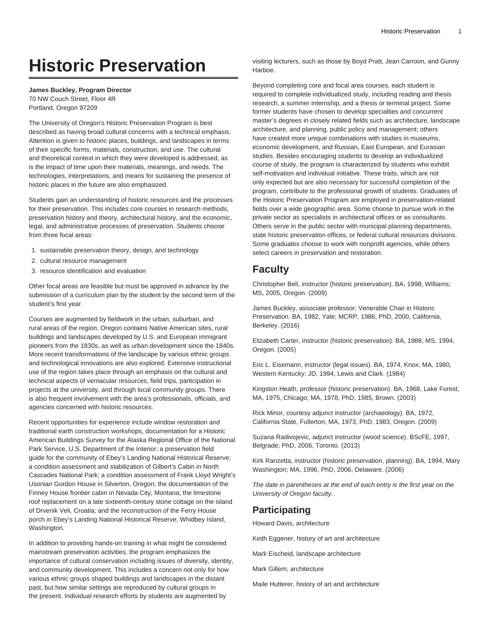# **Historic Preservation**

**James Buckley, Program Director** 70 NW Couch Street, Floor 4R Portland, Oregon 97209

The University of Oregon's Historic Preservation Program is best described as having broad cultural concerns with a technical emphasis. Attention is given to historic places, buildings, and landscapes in terms of their specific forms, materials, construction, and use. The cultural and theoretical context in which they were developed is addressed, as is the impact of time upon their materials, meanings, and needs. The technologies, interpretations, and means for sustaining the presence of historic places in the future are also emphasized.

Students gain an understanding of historic resources and the processes for their preservation. This includes core courses in research methods, preservation history and theory, architectural history, and the economic, legal, and administrative processes of preservation. Students choose from three focal areas:

- 1. sustainable preservation theory, design, and technology
- 2. cultural resource management
- 3. resource identification and evaluation

Other focal areas are feasible but must be approved in advance by the submission of a curriculum plan by the student by the second term of the student's first year.

Courses are augmented by fieldwork in the urban, suburban, and rural areas of the region. Oregon contains Native American sites, rural buildings and landscapes developed by U.S. and European immigrant pioneers from the 1830s, as well as urban development since the 1840s. More recent transformations of the landscape by various ethnic groups and technological innovations are also explored. Extensive instructional use of the region takes place through an emphasis on the cultural and technical aspects of vernacular resources, field trips, participation in projects at the university, and through local community groups. There is also frequent involvement with the area's professionals, officials, and agencies concerned with historic resources.

Recent opportunities for experience include window restoration and traditional earth construction workshops, documentation for a Historic American Buildings Survey for the Alaska Regional Office of the National Park Service, U.S. Department of the Interior; a preservation field guide for the community of Ebey's Landing National Historical Reserve; a condition assessment and stabilization of Gilbert's Cabin in North Cascades National Park; a condition assessment of Frank Lloyd Wright's Usonian Gordon House in Silverton, Oregon; the documentation of the Finney House frontier cabin in Nevada City, Montana; the limestone roof replacement on a late sixteenth-century stone cottage on the island of Drvenik Veli, Croatia; and the reconstruction of the Ferry House porch in Ebey's Landing National Historical Reserve, Whidbey Island, Washington.

In addition to providing hands-on training in what might be considered mainstream preservation activities, the program emphasizes the importance of cultural conservation including issues of diversity, identity, and community development. This includes a concern not only for how various ethnic groups shaped buildings and landscapes in the distant past, but how similar settings are reproduced by cultural groups in the present. Individual research efforts by students are augmented by

visiting lecturers, such as those by Boyd Pratt, Jean Carroon, and Gunny Harboe.

Beyond completing core and focal area courses, each student is required to complete individualized study, including reading and thesis research, a summer internship, and a thesis or terminal project. Some former students have chosen to develop specialties and concurrent master's degrees in closely related fields such as architecture, landscape architecture, and planning, public policy and management; others have created more unique combinations with studies in museums, economic development, and Russian, East European, and Eurasian studies. Besides encouraging students to develop an individualized course of study, the program is characterized by students who exhibit self-motivation and individual initiative. These traits, which are not only expected but are also necessary for successful completion of the program, contribute to the professional growth of students. Graduates of the Historic Preservation Program are employed in preservation-related fields over a wide geographic area. Some choose to pursue work in the private sector as specialists in architectural offices or as consultants. Others serve in the public sector with municipal planning departments, state historic preservation offices, or federal cultural resources divisions. Some graduates choose to work with nonprofit agencies, while others select careers in preservation and restoration.

# **Faculty**

Christopher Bell, instructor (historic preservation). BA, 1998, Williams; MS, 2005, Oregon. (2009)

James Buckley, associate professor; Venerable Chair in Historic Preservation. BA, 1982, Yale; MCRP, 1986, PhD, 2000, California, Berkeley. (2016)

Elizabeth Carter, instructor (historic preservation). BA, 1988, MS, 1994, Oregon. (2005)

Eric L. Eisemann, instructor (legal issues). BA, 1974, Knox; MA, 1980, Western Kentucky; JD, 1994, Lewis and Clark. (1984)

Kingston Heath, professor (historic preservation). BA, 1968, Lake Forest; MA, 1975, Chicago; MA, 1978, PhD, 1985, Brown. (2003)

Rick Minor, courtesy adjunct instructor (archaeology). BA, 1972, California State, Fullerton; MA, 1973, PhD, 1983, Oregon. (2009)

Suzana Radivojevic, adjunct instructor (wood science). BScFE, 1997, Belgrade; PhD, 2006, Toronto. (2013)

Kirk Ranzetta, instructor (historic preservation, planning). BA, 1994, Mary Washington; MA, 1996, PhD, 2006, Delaware. (2006)

The date in parentheses at the end of each entry is the first year on the University of Oregon faculty.

# **Participating**

Howard Davis, architecture

Keith Eggener, history of art and architecture

Mark Eischeid, landscape architecture

Mark Gillem, architecture

Maile Hutterer, history of art and architecture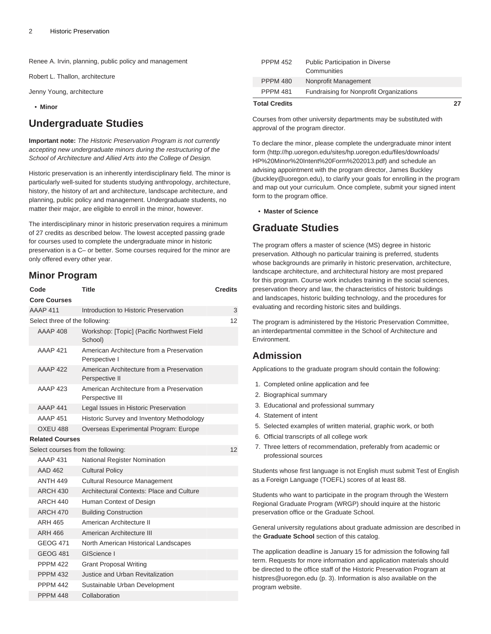Renee A. Irvin, planning, public policy and management

Robert L. Thallon, architecture

Jenny Young, architecture

• **Minor**

# **Undergraduate Studies**

**Important note:** The Historic Preservation Program is not currently accepting new undergraduate minors during the restructuring of the School of Architecture and Allied Arts into the College of Design.

Historic preservation is an inherently interdisciplinary field. The minor is particularly well-suited for students studying anthropology, architecture, history, the history of art and architecture, landscape architecture, and planning, public policy and management. Undergraduate students, no matter their major, are eligible to enroll in the minor, however.

The interdisciplinary minor in historic preservation requires a minimum of 27 credits as described below. The lowest accepted passing grade for courses used to complete the undergraduate minor in historic preservation is a C– or better. Some courses required for the minor are only offered every other year.

### **Minor Program**

| Code                               |                                | <b>Title</b>                                                 | <b>Credits</b> |  |  |  |
|------------------------------------|--------------------------------|--------------------------------------------------------------|----------------|--|--|--|
|                                    | <b>Core Courses</b>            |                                                              |                |  |  |  |
|                                    | <b>AAAP 411</b>                | Introduction to Historic Preservation                        | 3              |  |  |  |
|                                    | Select three of the following: |                                                              |                |  |  |  |
|                                    | <b>AAAP 408</b>                | Workshop: [Topic] (Pacific Northwest Field<br>School)        |                |  |  |  |
|                                    | <b>AAAP 421</b>                | American Architecture from a Preservation<br>Perspective I   |                |  |  |  |
|                                    | <b>AAAP 422</b>                | American Architecture from a Preservation<br>Perspective II  |                |  |  |  |
|                                    | <b>AAAP 423</b>                | American Architecture from a Preservation<br>Perspective III |                |  |  |  |
|                                    | AAAP 441                       | Legal Issues in Historic Preservation                        |                |  |  |  |
|                                    | <b>AAAP 451</b>                | Historic Survey and Inventory Methodology                    |                |  |  |  |
|                                    | <b>OXEU 488</b>                | Overseas Experimental Program: Europe                        |                |  |  |  |
| <b>Related Courses</b>             |                                |                                                              |                |  |  |  |
| Select courses from the following: | 12                             |                                                              |                |  |  |  |
|                                    | <b>AAAP 431</b>                | National Register Nomination                                 |                |  |  |  |
|                                    | <b>AAD 462</b>                 | <b>Cultural Policy</b>                                       |                |  |  |  |
|                                    | <b>ANTH 449</b>                | <b>Cultural Resource Management</b>                          |                |  |  |  |
|                                    | <b>ARCH 430</b>                | Architectural Contexts: Place and Culture                    |                |  |  |  |
|                                    | <b>ARCH 440</b>                | Human Context of Design                                      |                |  |  |  |
|                                    | <b>ARCH 470</b>                | <b>Building Construction</b>                                 |                |  |  |  |
|                                    | ARH 465                        | American Architecture II                                     |                |  |  |  |
|                                    | ARH 466                        | American Architecture III                                    |                |  |  |  |
|                                    | GEOG 471                       | North American Historical Landscapes                         |                |  |  |  |
|                                    | <b>GEOG 481</b>                | GIScience I                                                  |                |  |  |  |
|                                    | <b>PPPM 422</b>                | <b>Grant Proposal Writing</b>                                |                |  |  |  |
|                                    | <b>PPPM 432</b>                | Justice and Urban Revitalization                             |                |  |  |  |
|                                    | <b>PPPM 442</b>                | Sustainable Urban Development                                |                |  |  |  |
|                                    | <b>PPPM 448</b>                | Collaboration                                                |                |  |  |  |

| <b>Total Credits</b> |                                                | 27 |
|----------------------|------------------------------------------------|----|
| <b>PPPM 481</b>      | Fundraising for Nonprofit Organizations        |    |
| <b>PPPM 480</b>      | Nonprofit Management                           |    |
| <b>PPPM 452</b>      | Public Participation in Diverse<br>Communities |    |

Courses from other university departments may be substituted with approval of the program director.

To declare the minor, please complete the [undergraduate minor intent](http://hp.uoregon.edu/sites/hp.uoregon.edu/files/downloads/HP%20Minor%20Intent%20Form%202013.pdf) [form](http://hp.uoregon.edu/sites/hp.uoregon.edu/files/downloads/HP%20Minor%20Intent%20Form%202013.pdf) ([http://hp.uoregon.edu/sites/hp.uoregon.edu/files/downloads/](http://hp.uoregon.edu/sites/hp.uoregon.edu/files/downloads/HP%20Minor%20Intent%20Form%202013.pdf) [HP%20Minor%20Intent%20Form%202013.pdf\)](http://hp.uoregon.edu/sites/hp.uoregon.edu/files/downloads/HP%20Minor%20Intent%20Form%202013.pdf) and schedule an advising appointment with the program director, James Buckley (jbuckley@uoregon.edu), to clarify your goals for enrolling in the program and map out your curriculum. Once complete, submit your signed intent form to the program office.

• **Master of Science**

# **Graduate Studies**

The program offers a master of science (MS) degree in historic preservation. Although no particular training is preferred, students whose backgrounds are primarily in historic preservation, architecture, landscape architecture, and architectural history are most prepared for this program. Course work includes training in the social sciences, preservation theory and law, the characteristics of historic buildings and landscapes, historic building technology, and the procedures for evaluating and recording historic sites and buildings.

The program is administered by the Historic Preservation Committee, an interdepartmental committee in the School of Architecture and Environment.

## **Admission**

Applications to the graduate program should contain the following:

- 1. Completed online application and fee
- 2. Biographical summary
- 3. Educational and professional summary
- 4. Statement of intent
- 5. Selected examples of written material, graphic work, or both
- 6. Official transcripts of all college work
- 7. Three letters of recommendation, preferably from academic or professional sources

Students whose first language is not English must submit Test of English as a Foreign Language (TOEFL) scores of at least 88.

Students who want to participate in the program through the Western Regional Graduate Program (WRGP) should inquire at the historic preservation office or the Graduate School.

General university regulations about graduate admission are described in the **Graduate School** section of this catalog.

The application deadline is January 15 for admission the following fall term. Requests for more information and application materials should be directed to the office staff of the Historic Preservation Program at [histpres@uoregon.edu](#page-2-0) ([p. 3](#page-2-0)). Information is also available on the program website.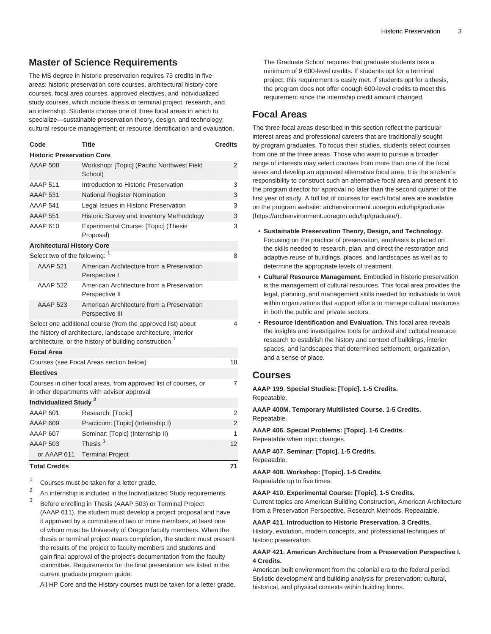## <span id="page-2-0"></span>**Master of Science Requirements**

The MS degree in historic preservation requires 73 credits in five areas: historic preservation core courses, architectural history core courses, focal area courses, approved electives, and individualized study courses, which include thesis or terminal project, research, and an internship. Students choose one of three focal areas in which to specialize—sustainable preservation theory, design, and technology; cultural resource management; or resource identification and evaluation.

| Code                                                                                                                                                                                               | <b>Title</b>                                                 | <b>Credits</b> |  |  |  |  |
|----------------------------------------------------------------------------------------------------------------------------------------------------------------------------------------------------|--------------------------------------------------------------|----------------|--|--|--|--|
| <b>Historic Preservation Core</b>                                                                                                                                                                  |                                                              |                |  |  |  |  |
| <b>AAAP 508</b>                                                                                                                                                                                    | Workshop: [Topic] (Pacific Northwest Field<br>School)        | 2              |  |  |  |  |
| <b>AAAP 511</b>                                                                                                                                                                                    | Introduction to Historic Preservation                        | 3              |  |  |  |  |
| <b>AAAP 531</b>                                                                                                                                                                                    | National Register Nomination                                 | 3              |  |  |  |  |
| <b>AAAP 541</b>                                                                                                                                                                                    | Legal Issues in Historic Preservation                        | 3              |  |  |  |  |
| <b>AAAP 551</b>                                                                                                                                                                                    | Historic Survey and Inventory Methodology                    | 3              |  |  |  |  |
| AAAP 610                                                                                                                                                                                           | Experimental Course: [Topic] (Thesis<br>Proposal)            | 3              |  |  |  |  |
| <b>Architectural History Core</b>                                                                                                                                                                  |                                                              |                |  |  |  |  |
| Select two of the following: 1                                                                                                                                                                     |                                                              | 8              |  |  |  |  |
| <b>AAAP 521</b>                                                                                                                                                                                    | American Architecture from a Preservation<br>Perspective I   |                |  |  |  |  |
| <b>AAAP 522</b>                                                                                                                                                                                    | American Architecture from a Preservation<br>Perspective II  |                |  |  |  |  |
| <b>AAAP 523</b>                                                                                                                                                                                    | American Architecture from a Preservation<br>Perspective III |                |  |  |  |  |
| Select one additional course (from the approved list) about<br>the history of architecture, landscape architecture, interior<br>architecture, or the history of building construction <sup>1</sup> |                                                              |                |  |  |  |  |
| <b>Focal Area</b>                                                                                                                                                                                  |                                                              |                |  |  |  |  |
| 18<br>Courses (see Focal Areas section below)                                                                                                                                                      |                                                              |                |  |  |  |  |
| <b>Electives</b>                                                                                                                                                                                   |                                                              |                |  |  |  |  |
| Courses in other focal areas, from approved list of courses, or<br>in other departments with advisor approval                                                                                      |                                                              |                |  |  |  |  |
| Individualized Study <sup>2</sup>                                                                                                                                                                  |                                                              |                |  |  |  |  |
| AAAP 601                                                                                                                                                                                           | Research: [Topic]                                            | 2              |  |  |  |  |
| AAAP 609                                                                                                                                                                                           | Practicum: [Topic] (Internship I)                            | $\overline{2}$ |  |  |  |  |
| AAAP 607                                                                                                                                                                                           | Seminar: [Topic] (Internship II)                             | 1              |  |  |  |  |
| AAAP 503                                                                                                                                                                                           | Thesis <sup>3</sup>                                          | 12             |  |  |  |  |
| or AAAP 611                                                                                                                                                                                        | <b>Terminal Project</b>                                      |                |  |  |  |  |
| <b>Total Credits</b><br>71                                                                                                                                                                         |                                                              |                |  |  |  |  |

1 Courses must be taken for a letter grade.

2 An internship is included in the Individualized Study requirements.

3 Before enrolling in Thesis (AAAP 503) or Terminal Project (AAAP 611), the student must develop a project proposal and have it approved by a committee of two or more members, at least one of whom must be University of Oregon faculty members. When the thesis or terminal project nears completion, the student must present the results of the project to faculty members and students and gain final approval of the project's documentation from the faculty committee. Requirements for the final presentation are listed in the current graduate program guide.

All HP Core and the History courses must be taken for a letter grade.

The Graduate School requires that graduate students take a minimum of 9 600-level credits. If students opt for a terminal project, this requirement is easily met. If students opt for a thesis, the program does not offer enough 600-level credits to meet this requirement since the internship credit amount changed.

## **Focal Areas**

The three focal areas described in this section reflect the particular interest areas and professional careers that are traditionally sought by program graduates. To focus their studies, students select courses from one of the three areas. Those who want to pursue a broader range of interests may select courses from more than one of the focal areas and develop an approved alternative focal area. It is the student's responsibility to construct such an alternative focal area and present it to the program director for approval no later than the second quarter of the first year of study. A full list of courses for each focal area are available on the program website: [archenvironment.uoregon.edu/hp/graduate](https://archenvironment.uoregon.edu/hp/graduate/) ([https://archenvironment.uoregon.edu/hp/graduate/\)](https://archenvironment.uoregon.edu/hp/graduate/).

- **Sustainable Preservation Theory, Design, and Technology.** Focusing on the practice of preservation, emphasis is placed on the skills needed to research, plan, and direct the restoration and adaptive reuse of buildings, places, and landscapes as well as to determine the appropriate levels of treatment.
- **Cultural Resource Management.** Embodied in historic preservation is the management of cultural resources. This focal area provides the legal, planning, and management skills needed for individuals to work within organizations that support efforts to manage cultural resources in both the public and private sectors.
- **Resource Identification and Evaluation.** This focal area reveals the insights and investigative tools for archival and cultural resource research to establish the history and context of buildings, interior spaces, and landscapes that determined settlement, organization, and a sense of place.

## **Courses**

**AAAP 199. Special Studies: [Topic]. 1-5 Credits.** Repeatable.

**AAAP 400M. Temporary Multilisted Course. 1-5 Credits.** Repeatable.

**AAAP 406. Special Problems: [Topic]. 1-6 Credits.** Repeatable when topic changes.

**AAAP 407. Seminar: [Topic]. 1-5 Credits.** Repeatable.

**AAAP 408. Workshop: [Topic]. 1-5 Credits.** Repeatable up to five times.

**AAAP 410. Experimental Course: [Topic]. 1-5 Credits.**

Current topics are American Building Construction, American Architecture from a Preservation Perspective, Research Methods. Repeatable.

**AAAP 411. Introduction to Historic Preservation. 3 Credits.** History, evolution, modern concepts, and professional techniques of historic preservation.

#### **AAAP 421. American Architecture from a Preservation Perspective I. 4 Credits.**

American built environment from the colonial era to the federal period. Stylistic development and building analysis for preservation; cultural, historical, and physical contexts within building forms.